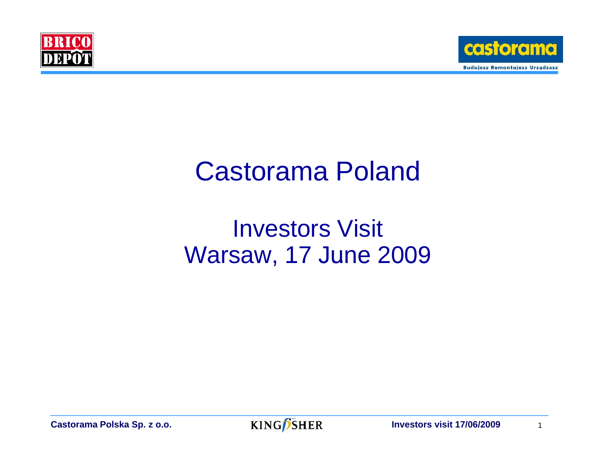



# Castorama Poland

## Investors Visit **Warsaw, 17 June 2009**

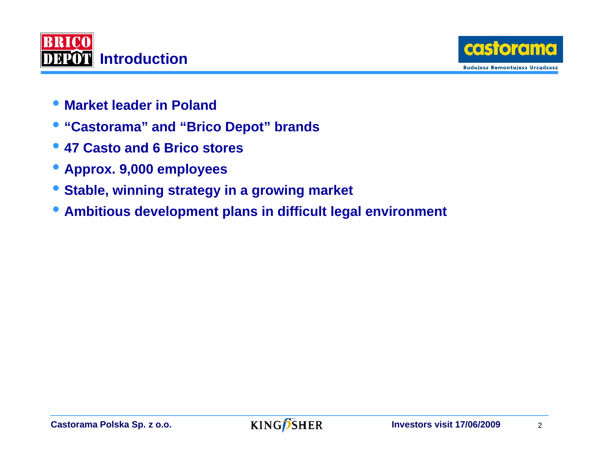



- **Market leader in Poland**
- **"Castorama" and "Brico Depot" brands**
- **47 Casto and 6 Brico stores**
- **Approx. 9,000 employees**
- **Stable, winning strategy in a growing market**
- **Ambitious development plans in difficult legal environment**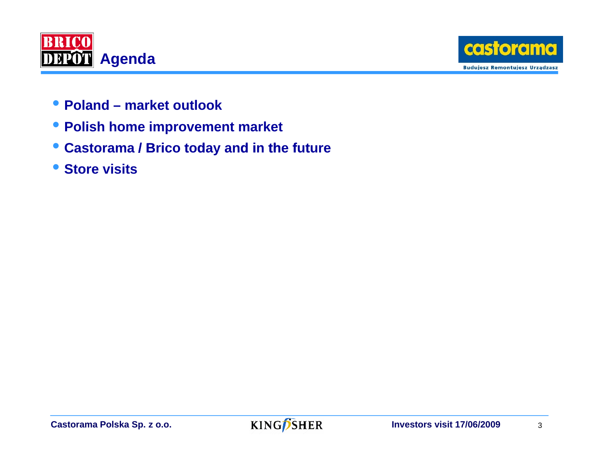



- **Poland market outlook**
- **Polish home improvement market**
- **Ctas orama / B d d i th / Brico today and in the future**
- **Store visits**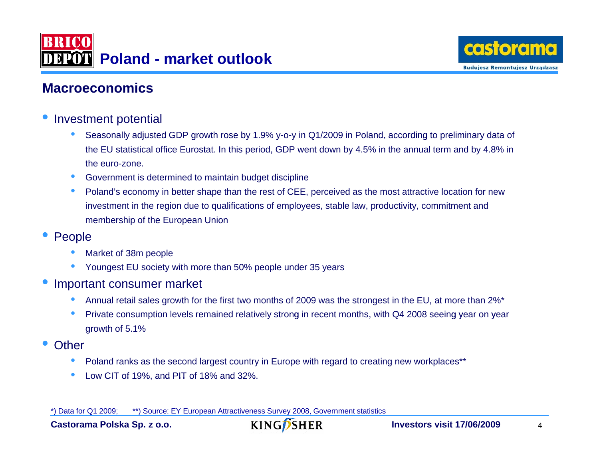



#### **Macroeconomics**

- • Investment potential
	- • Seasonally adjusted GDP growth rose by 1.9% y-o-y in Q1/2009 in Poland, according to preliminary data of the EU statistical office Eurostat. In this period, GDP went down by 4.5% in the annual term and by 4.8% in the euro-zone.
	- •Government is determined to maintain budget discipline
	- • Poland's economy in better shape than the rest of CEE, perceived as the most attractive location for new investment in the region due to qualifications of employees, stable law, productivity, commitment and membership of the European Union
- • People
	- •Market of 38m people
	- •Youngest EU society with more than 50% people under 35 years
- • Important consumer market
	- •Annual retail sales growth for the first two months of 2009 was the strongest in the EU, at more than 2%\*
	- •Private consumption levels remained relatively strong in recent months, with Q4 2008 seeing year on year growth of 5.1%
- •**Other** 
	- •Poland ranks as the second largest country in Europe with regard to creating new workplaces\*\*
	- •Low CIT of 19%, and PIT of 18% and  $32\%$ .

\*) Data for Q1 2009; \*\*) Source: EY European Attractiveness Survey 2008, Government statistics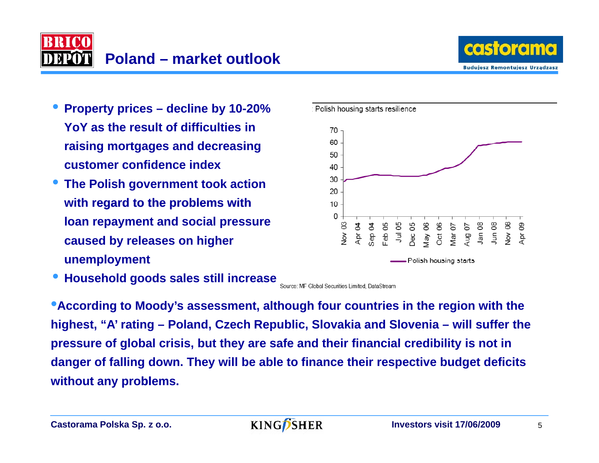



- **Property prices decline by 10-20% YoY as the result of difficulties in raiis ng mortgages and decreasing customer confidence index**
- **The Polish government took action**  with regard to the problems with **loan repayment and social pressure caused by releases on higher unemployment unemployment**

**• Household goods sales still increase** Source: MF Global Securities Limited, DataStream



**twithout any problems.**  •**According to Moody's assessment, although four countries in the region with the highest, "A' rating – Poland, Czech Republic, Slovakia and Slovenia – will suffer the pressure of global crisis, but they are safe and their financial credibility is not in danger of falling down. They will be able to finance their respective budget deficits** 

Castorama Polska Sp. z o.o. **Investors visit 17/06/2009** 5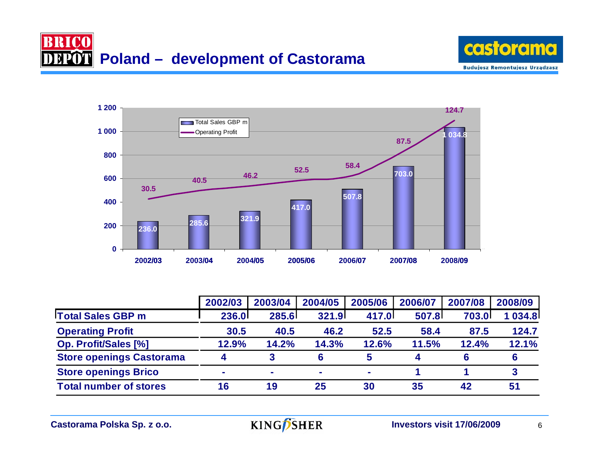





|                                 | 2002/03                | 2003/04 | 2004/05      | 2005/06 | 2006/07 | 2007/08      | 2008/09 |
|---------------------------------|------------------------|---------|--------------|---------|---------|--------------|---------|
| <b>Total Sales GBP m</b>        | <b>236.0</b>           | 285.6   | <b>321.9</b> | 417.0   | 507.8   | <b>703.0</b> | 034.8   |
| <b>Operating Profit</b>         | 30.5                   | 40.5    | 46.2         | 52.5    | 58.4    | 87.5         | 124.7   |
| <b>Op. Profit/Sales [%]</b>     | 12.9%                  | 14.2%   | 14.3%        | 12.6%   | 11.5%   | 12.4%        | 12.1%   |
| <b>Store openings Castorama</b> | $\boldsymbol{\Lambda}$ |         | 6            | 5       |         |              | 6       |
| <b>Store openings Brico</b>     | ۰                      | $\sim$  | $\sim$       | $\sim$  |         |              |         |
| <b>Total number of stores</b>   | 16                     | 19      | 25           | 30      | 35      | 42           | 51      |

**Castorama Polska Sp. z o.o.** 

**KING**SHER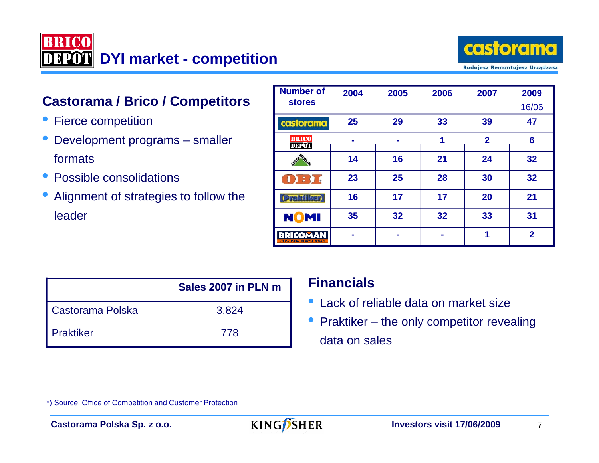



#### **Castorama / Brico / Competitors**

- Fierce competition
- Development programs smaller formats
- Possible consolidations
- Alignment of strategies to follow the leader

| <b>Number of</b>                             | 2004 | 2005 | 2006 | 2007           | 2009           |
|----------------------------------------------|------|------|------|----------------|----------------|
| <b>stores</b>                                |      |      |      |                | 16/06          |
| castorama                                    | 25   | 29   | 33   | 39             | 47             |
| <b>BRICO</b><br><b>DEPOT</b>                 | -    |      | 1    | $\overline{2}$ | 6              |
|                                              | 14   | 16   | 21   | 24             | 32             |
| B<br>$\blacksquare$                          | 23   | 25   | 28   | 30             | 32             |
| <b>(Praktiker)</b>                           | 16   | 17   | 17   | 20             | 21             |
| <b>NOMI</b>                                  | 35   | 32   | 32   | 33             | 31             |
| COMAN<br>88 B<br><b>PLUS PRO, MOINS CHER</b> |      |      |      | 1              | $\overline{2}$ |

|                    | Sales 2007 in PLN m |
|--------------------|---------------------|
| Castorama Polska   | 3,824               |
| <b>I</b> Praktiker | 778                 |

#### **Financials**

- Lack of reliable data on market size
- Praktiker the only competitor revealing data on sales

\*) Source: Office of Competition and Customer Protection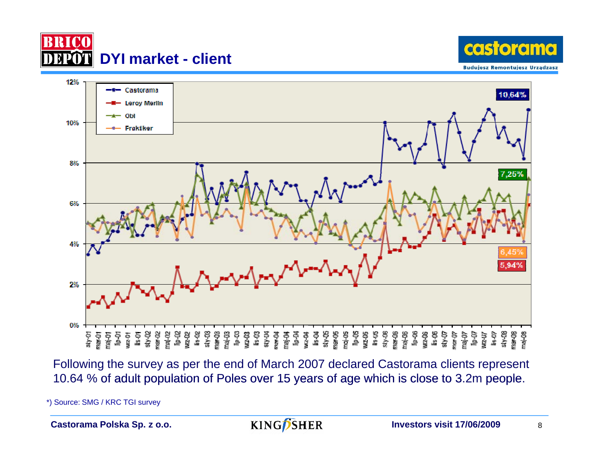





Following the survey as per the end of March 2007 declared Castorama clients represent 10.64 % of adult population of Poles over 15 years of age which is close to 3.2m people.

\*) Source: SMG / KRC TGI survey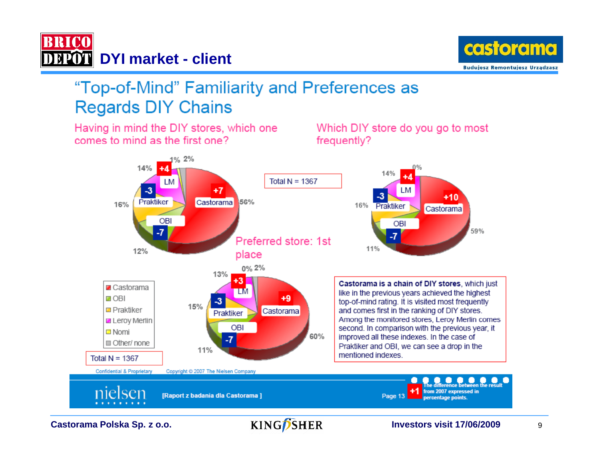

Having in mind the DIY stores, which one



### "Top-of-Mind" Familiarity and Preferences as **Regards DIY Chains**

comes to mind as the first one? frequently? 1% 2% 14% Total  $N = 1367$ LМ -3 +7 LМ -3  $+10$ 56% Praktiker Castorama 16% 16% Praktiker Castorama OBI OBI 59%  $-7$ -7 Preferred store: 1st 11% 12% place 0% 2% 13% +3 | Castorama is a chain of DIY stores, which just **Z** Castorama TМ like in the previous years achieved the highest **⊒ OBI**  $+9$  $-3$ top-of-mind rating. It is visited most frequently  $15%$ **D** Prakfiker and comes first in the ranking of DIY stores. Castorama Praktiker Leroy Merlin Among the monitored stores, Leroy Merlin comes OBI second. In comparison with the previous year, it  $\square$  Nomi 60% improved all these indexes. In the case of  $-7$ Other/none Praktiker and OBI, we can see a drop in the 11% mentioned indexes. Total  $N = 1367$ Confidential & Proprietary Copyright © 2007 The Nielsen Company nielsen from 2007 expressed in [Raport z badania dla Castorama] Page 13 percentage points

**Castorama Polska Sp. z o.o.** KING SHER Investors visit 17/06/2009 9

Which DIY store do you go to most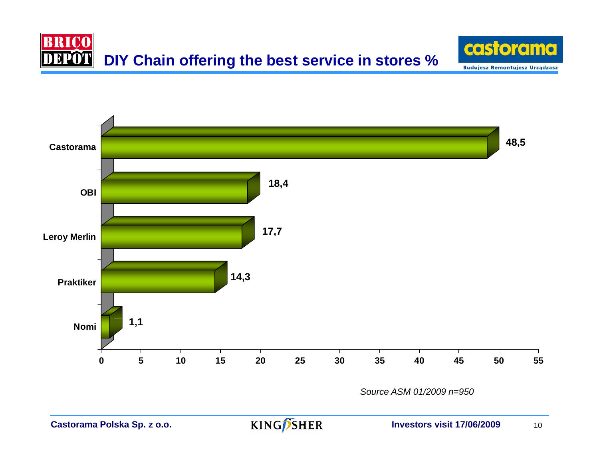





*Source ASM 01/2009 n=950*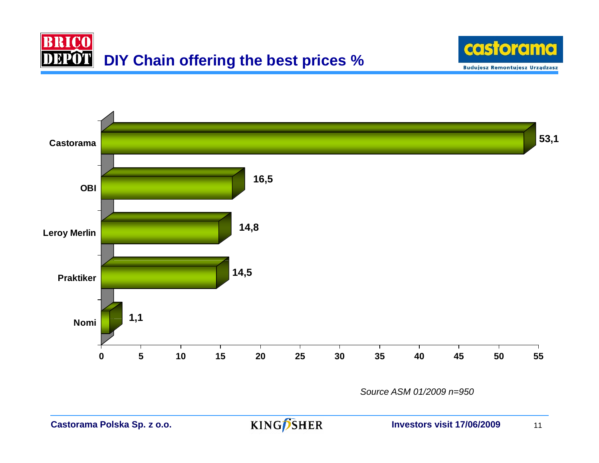





*Source ASM 01/2009 n=950*